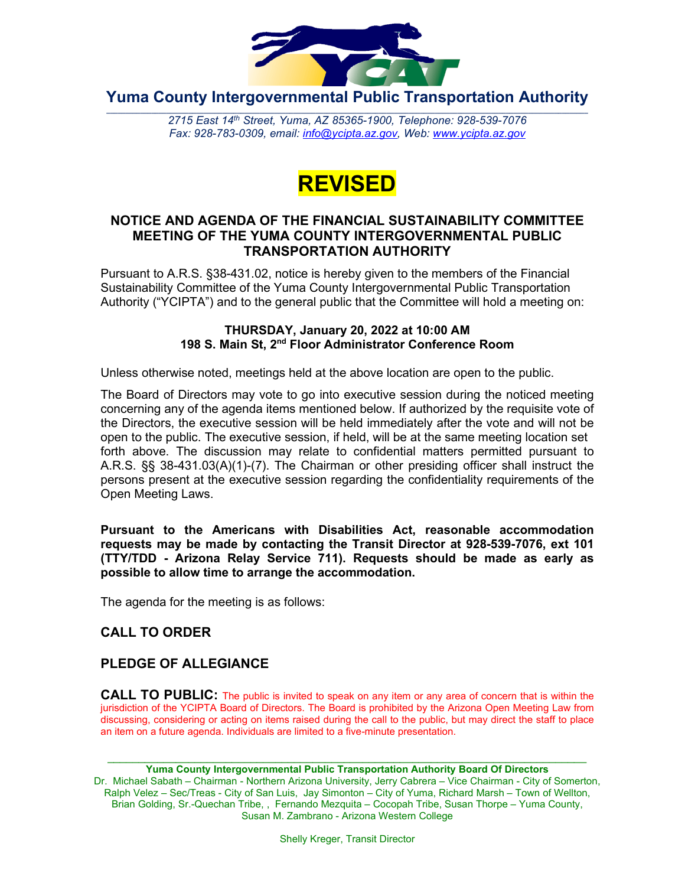

**Yuma County Intergovernmental Public Transportation Authority**

2715 East 14th Street, Yuma, AZ 85365-1900, Telephone: 928-539-7076 *Fax: 928-783-0309, email: [info@ycipta.az.gov,](mailto:info@ycipta.az.gov) Web: [www.ycipta.az.gov](http://www.ycipta.az.gov/)*



#### **NOTICE AND AGENDA OF THE FINANCIAL SUSTAINABILITY COMMITTEE MEETING OF THE YUMA COUNTY INTERGOVERNMENTAL PUBLIC TRANSPORTATION AUTHORITY**

Pursuant to A.R.S. §38-431.02, notice is hereby given to the members of the Financial Sustainability Committee of the Yuma County Intergovernmental Public Transportation Authority ("YCIPTA") and to the general public that the Committee will hold a meeting on:

#### **THURSDAY, January 20, 2022 at 10:00 AM 198 S. Main St, 2nd Floor Administrator Conference Room**

Unless otherwise noted, meetings held at the above location are open to the public.

The Board of Directors may vote to go into executive session during the noticed meeting concerning any of the agenda items mentioned below. If authorized by the requisite vote of the Directors, the executive session will be held immediately after the vote and will not be open to the public. The executive session, if held, will be at the same meeting location set forth above. The discussion may relate to confidential matters permitted pursuant to A.R.S. §§ 38-431.03(A)(1)-(7). The Chairman or other presiding officer shall instruct the persons present at the executive session regarding the confidentiality requirements of the Open Meeting Laws.

**Pursuant to the Americans with Disabilities Act, reasonable accommodation requests may be made by contacting the Transit Director at 928-539-7076, ext 101 (TTY/TDD - Arizona Relay Service 711). Requests should be made as early as possible to allow time to arrange the accommodation.**

The agenda for the meeting is as follows:

## **CALL TO ORDER**

## **PLEDGE OF ALLEGIANCE**

**CALL TO PUBLIC:** The public is invited to speak on any item or any area of concern that is within the jurisdiction of the YCIPTA Board of Directors. The Board is prohibited by the Arizona Open Meeting Law from discussing, considering or acting on items raised during the call to the public, but may direct the staff to place an item on a future agenda. Individuals are limited to a five-minute presentation.

\_\_\_\_\_\_\_\_\_\_\_\_\_\_\_\_\_\_\_\_\_\_\_\_\_\_\_\_\_\_\_\_\_\_\_\_\_\_\_\_\_\_\_\_\_\_\_\_\_\_\_\_\_\_\_\_\_\_\_\_\_\_\_\_\_\_\_\_\_\_\_\_\_\_\_\_\_ **Yuma County Intergovernmental Public Transportation Authority Board Of Directors** Dr. Michael Sabath – Chairman - Northern Arizona University, Jerry Cabrera – Vice Chairman - City of Somerton, Ralph Velez – Sec/Treas - City of San Luis, Jay Simonton – City of Yuma, Richard Marsh – Town of Wellton, Brian Golding, Sr.-Quechan Tribe, , Fernando Mezquita – Cocopah Tribe, Susan Thorpe – Yuma County, Susan M. Zambrano - Arizona Western College

Shelly Kreger, Transit Director